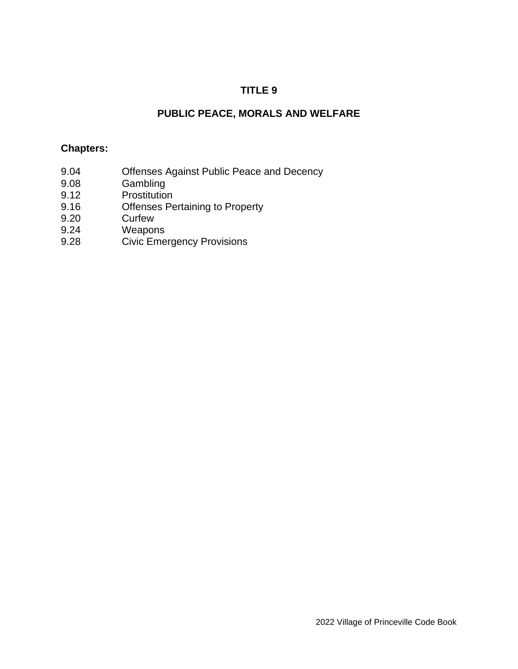# **TITLE 9**

# **PUBLIC PEACE, MORALS AND WELFARE**

### **Chapters:**

- 9.04 Offenses Against Public Peace and Decency
- 9.08 Gambling
- 9.12 Prostitution
- 9.16 Offenses Pertaining to Property
- 9.20 Curfew
- 9.24 Weapons
- 9.28 Civic Emergency Provisions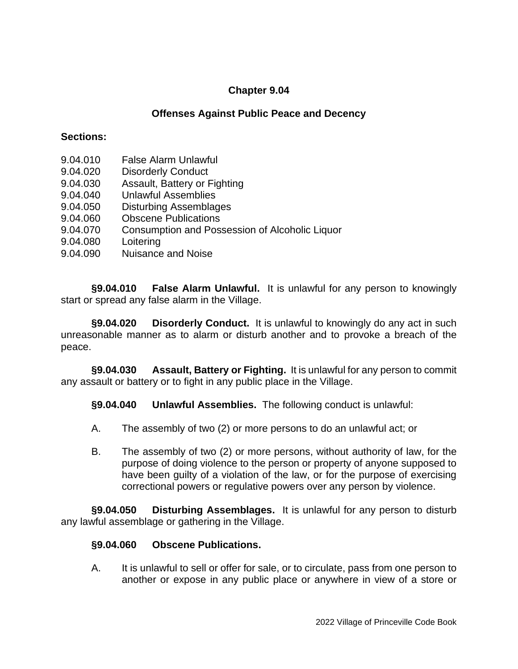### **Offenses Against Public Peace and Decency**

### **Sections:**

- 9.04.010 False Alarm Unlawful
- 9.04.020 Disorderly Conduct
- 9.04.030 Assault, Battery or Fighting
- 9.04.040 Unlawful Assemblies
- 9.04.050 Disturbing Assemblages
- 9.04.060 Obscene Publications
- 9.04.070 Consumption and Possession of Alcoholic Liquor
- 9.04.080 Loitering
- 9.04.090 Nuisance and Noise

**§9.04.010 False Alarm Unlawful.** It is unlawful for any person to knowingly start or spread any false alarm in the Village.

**§9.04.020 Disorderly Conduct.** It is unlawful to knowingly do any act in such unreasonable manner as to alarm or disturb another and to provoke a breach of the peace.

**§9.04.030 Assault, Battery or Fighting.** It is unlawful for any person to commit any assault or battery or to fight in any public place in the Village.

**§9.04.040 Unlawful Assemblies.** The following conduct is unlawful:

- A. The assembly of two (2) or more persons to do an unlawful act; or
- B. The assembly of two (2) or more persons, without authority of law, for the purpose of doing violence to the person or property of anyone supposed to have been guilty of a violation of the law, or for the purpose of exercising correctional powers or regulative powers over any person by violence.

**§9.04.050 Disturbing Assemblages.** It is unlawful for any person to disturb any lawful assemblage or gathering in the Village.

### **§9.04.060 Obscene Publications.**

A. It is unlawful to sell or offer for sale, or to circulate, pass from one person to another or expose in any public place or anywhere in view of a store or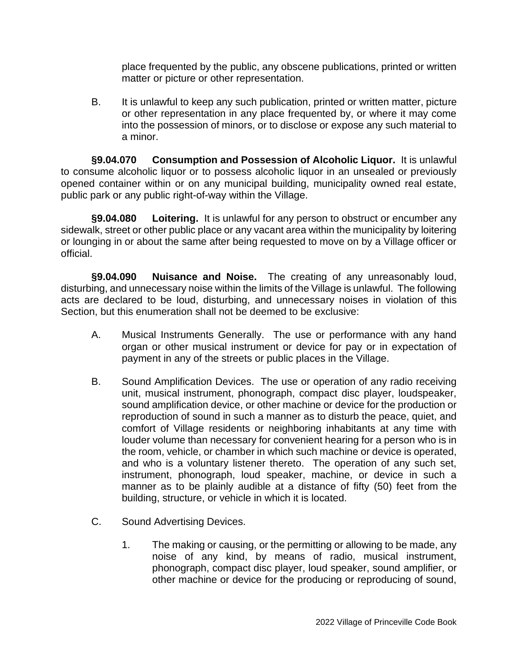place frequented by the public, any obscene publications, printed or written matter or picture or other representation.

B. It is unlawful to keep any such publication, printed or written matter, picture or other representation in any place frequented by, or where it may come into the possession of minors, or to disclose or expose any such material to a minor.

**§9.04.070 Consumption and Possession of Alcoholic Liquor.** It is unlawful to consume alcoholic liquor or to possess alcoholic liquor in an unsealed or previously opened container within or on any municipal building, municipality owned real estate, public park or any public right-of-way within the Village.

**§9.04.080 Loitering.** It is unlawful for any person to obstruct or encumber any sidewalk, street or other public place or any vacant area within the municipality by loitering or lounging in or about the same after being requested to move on by a Village officer or official.

**§9.04.090 Nuisance and Noise.** The creating of any unreasonably loud, disturbing, and unnecessary noise within the limits of the Village is unlawful. The following acts are declared to be loud, disturbing, and unnecessary noises in violation of this Section, but this enumeration shall not be deemed to be exclusive:

- A. Musical Instruments Generally. The use or performance with any hand organ or other musical instrument or device for pay or in expectation of payment in any of the streets or public places in the Village.
- B. Sound Amplification Devices. The use or operation of any radio receiving unit, musical instrument, phonograph, compact disc player, loudspeaker, sound amplification device, or other machine or device for the production or reproduction of sound in such a manner as to disturb the peace, quiet, and comfort of Village residents or neighboring inhabitants at any time with louder volume than necessary for convenient hearing for a person who is in the room, vehicle, or chamber in which such machine or device is operated, and who is a voluntary listener thereto. The operation of any such set, instrument, phonograph, loud speaker, machine, or device in such a manner as to be plainly audible at a distance of fifty (50) feet from the building, structure, or vehicle in which it is located.
- C. Sound Advertising Devices.
	- 1. The making or causing, or the permitting or allowing to be made, any noise of any kind, by means of radio, musical instrument, phonograph, compact disc player, loud speaker, sound amplifier, or other machine or device for the producing or reproducing of sound,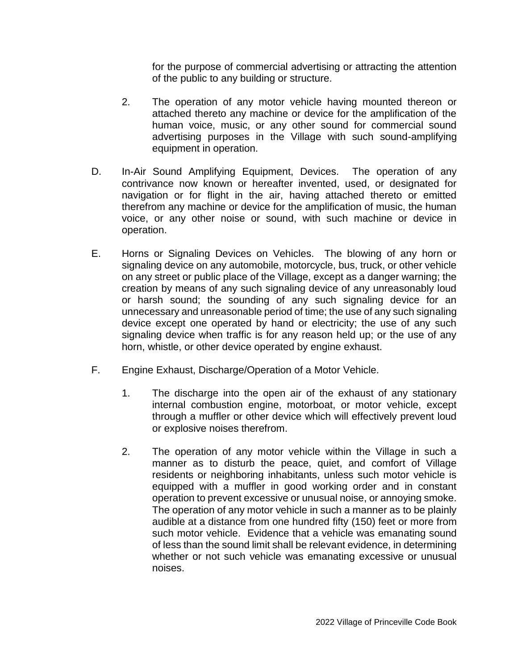for the purpose of commercial advertising or attracting the attention of the public to any building or structure.

- 2. The operation of any motor vehicle having mounted thereon or attached thereto any machine or device for the amplification of the human voice, music, or any other sound for commercial sound advertising purposes in the Village with such sound-amplifying equipment in operation.
- D. In-Air Sound Amplifying Equipment, Devices. The operation of any contrivance now known or hereafter invented, used, or designated for navigation or for flight in the air, having attached thereto or emitted therefrom any machine or device for the amplification of music, the human voice, or any other noise or sound, with such machine or device in operation.
- E. Horns or Signaling Devices on Vehicles. The blowing of any horn or signaling device on any automobile, motorcycle, bus, truck, or other vehicle on any street or public place of the Village, except as a danger warning; the creation by means of any such signaling device of any unreasonably loud or harsh sound; the sounding of any such signaling device for an unnecessary and unreasonable period of time; the use of any such signaling device except one operated by hand or electricity; the use of any such signaling device when traffic is for any reason held up; or the use of any horn, whistle, or other device operated by engine exhaust.
- F. Engine Exhaust, Discharge/Operation of a Motor Vehicle.
	- 1. The discharge into the open air of the exhaust of any stationary internal combustion engine, motorboat, or motor vehicle, except through a muffler or other device which will effectively prevent loud or explosive noises therefrom.
	- 2. The operation of any motor vehicle within the Village in such a manner as to disturb the peace, quiet, and comfort of Village residents or neighboring inhabitants, unless such motor vehicle is equipped with a muffler in good working order and in constant operation to prevent excessive or unusual noise, or annoying smoke. The operation of any motor vehicle in such a manner as to be plainly audible at a distance from one hundred fifty (150) feet or more from such motor vehicle. Evidence that a vehicle was emanating sound of less than the sound limit shall be relevant evidence, in determining whether or not such vehicle was emanating excessive or unusual noises.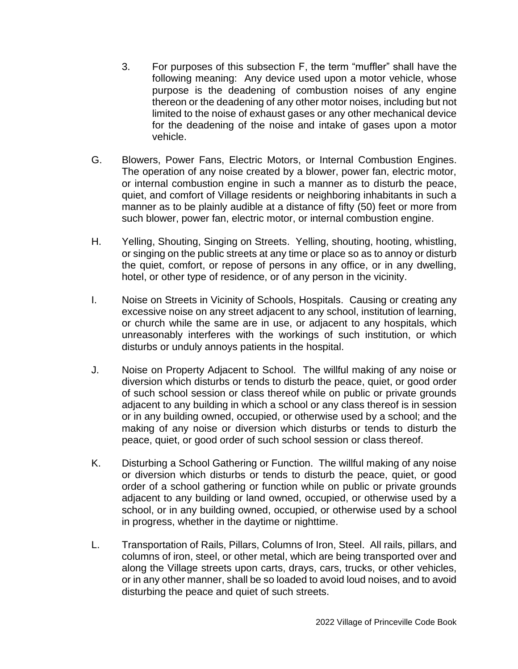- 3. For purposes of this subsection F, the term "muffler" shall have the following meaning: Any device used upon a motor vehicle, whose purpose is the deadening of combustion noises of any engine thereon or the deadening of any other motor noises, including but not limited to the noise of exhaust gases or any other mechanical device for the deadening of the noise and intake of gases upon a motor vehicle.
- G. Blowers, Power Fans, Electric Motors, or Internal Combustion Engines. The operation of any noise created by a blower, power fan, electric motor, or internal combustion engine in such a manner as to disturb the peace, quiet, and comfort of Village residents or neighboring inhabitants in such a manner as to be plainly audible at a distance of fifty (50) feet or more from such blower, power fan, electric motor, or internal combustion engine.
- H. Yelling, Shouting, Singing on Streets. Yelling, shouting, hooting, whistling, or singing on the public streets at any time or place so as to annoy or disturb the quiet, comfort, or repose of persons in any office, or in any dwelling, hotel, or other type of residence, or of any person in the vicinity.
- I. Noise on Streets in Vicinity of Schools, Hospitals. Causing or creating any excessive noise on any street adjacent to any school, institution of learning, or church while the same are in use, or adjacent to any hospitals, which unreasonably interferes with the workings of such institution, or which disturbs or unduly annoys patients in the hospital.
- J. Noise on Property Adjacent to School. The willful making of any noise or diversion which disturbs or tends to disturb the peace, quiet, or good order of such school session or class thereof while on public or private grounds adjacent to any building in which a school or any class thereof is in session or in any building owned, occupied, or otherwise used by a school; and the making of any noise or diversion which disturbs or tends to disturb the peace, quiet, or good order of such school session or class thereof.
- K. Disturbing a School Gathering or Function. The willful making of any noise or diversion which disturbs or tends to disturb the peace, quiet, or good order of a school gathering or function while on public or private grounds adjacent to any building or land owned, occupied, or otherwise used by a school, or in any building owned, occupied, or otherwise used by a school in progress, whether in the daytime or nighttime.
- L. Transportation of Rails, Pillars, Columns of Iron, Steel. All rails, pillars, and columns of iron, steel, or other metal, which are being transported over and along the Village streets upon carts, drays, cars, trucks, or other vehicles, or in any other manner, shall be so loaded to avoid loud noises, and to avoid disturbing the peace and quiet of such streets.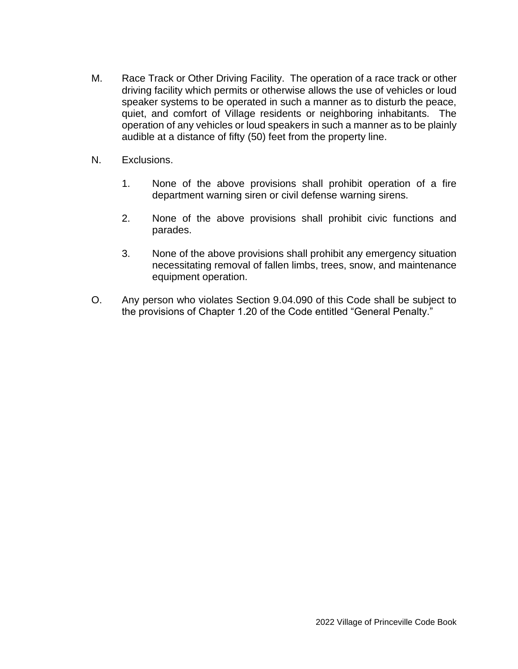- M. Race Track or Other Driving Facility. The operation of a race track or other driving facility which permits or otherwise allows the use of vehicles or loud speaker systems to be operated in such a manner as to disturb the peace, quiet, and comfort of Village residents or neighboring inhabitants. The operation of any vehicles or loud speakers in such a manner as to be plainly audible at a distance of fifty (50) feet from the property line.
- N. Exclusions.
	- 1. None of the above provisions shall prohibit operation of a fire department warning siren or civil defense warning sirens.
	- 2. None of the above provisions shall prohibit civic functions and parades.
	- 3. None of the above provisions shall prohibit any emergency situation necessitating removal of fallen limbs, trees, snow, and maintenance equipment operation.
- O. Any person who violates Section 9.04.090 of this Code shall be subject to the provisions of Chapter 1.20 of the Code entitled "General Penalty."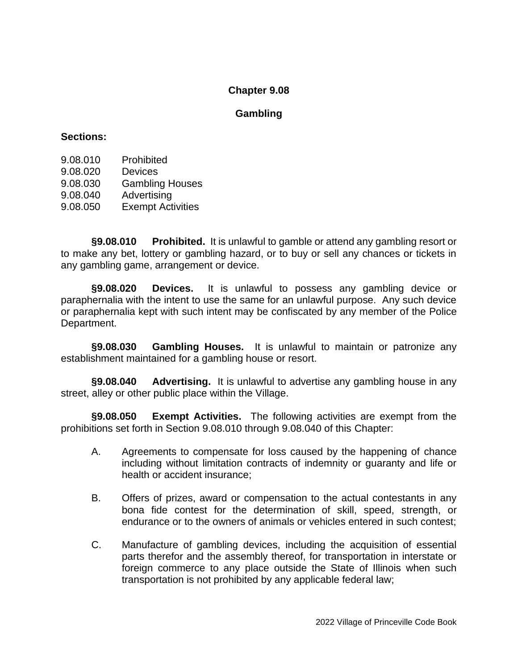### **Gambling**

#### **Sections:**

| 9.08.010 | Prohibited             |
|----------|------------------------|
| 9.08.020 | <b>Devices</b>         |
| 9.08.030 | <b>Gambling Houses</b> |
| 9.08.040 | Advertising            |

9.08.050 Exempt Activities

**§9.08.010 Prohibited.** It is unlawful to gamble or attend any gambling resort or to make any bet, lottery or gambling hazard, or to buy or sell any chances or tickets in any gambling game, arrangement or device.

**§9.08.020 Devices.** It is unlawful to possess any gambling device or paraphernalia with the intent to use the same for an unlawful purpose. Any such device or paraphernalia kept with such intent may be confiscated by any member of the Police Department.

**§9.08.030 Gambling Houses.** It is unlawful to maintain or patronize any establishment maintained for a gambling house or resort.

**§9.08.040 Advertising.** It is unlawful to advertise any gambling house in any street, alley or other public place within the Village.

**§9.08.050 Exempt Activities.** The following activities are exempt from the prohibitions set forth in Section 9.08.010 through 9.08.040 of this Chapter:

- A. Agreements to compensate for loss caused by the happening of chance including without limitation contracts of indemnity or guaranty and life or health or accident insurance;
- B. Offers of prizes, award or compensation to the actual contestants in any bona fide contest for the determination of skill, speed, strength, or endurance or to the owners of animals or vehicles entered in such contest;
- C. Manufacture of gambling devices, including the acquisition of essential parts therefor and the assembly thereof, for transportation in interstate or foreign commerce to any place outside the State of Illinois when such transportation is not prohibited by any applicable federal law;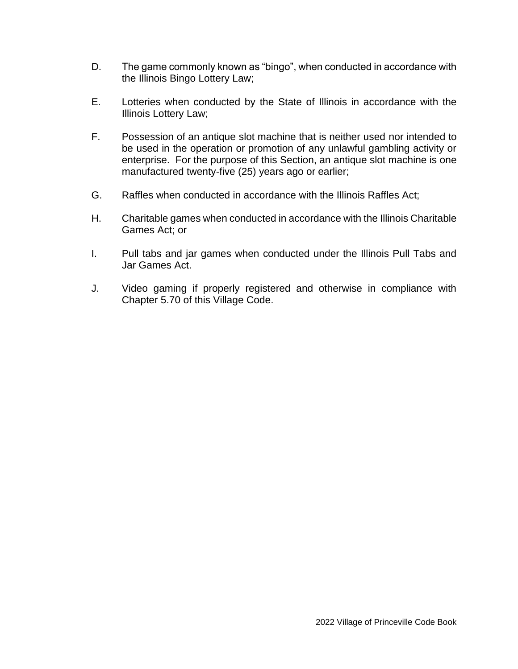- D. The game commonly known as "bingo", when conducted in accordance with the Illinois Bingo Lottery Law;
- E. Lotteries when conducted by the State of Illinois in accordance with the Illinois Lottery Law;
- F. Possession of an antique slot machine that is neither used nor intended to be used in the operation or promotion of any unlawful gambling activity or enterprise. For the purpose of this Section, an antique slot machine is one manufactured twenty-five (25) years ago or earlier;
- G. Raffles when conducted in accordance with the Illinois Raffles Act;
- H. Charitable games when conducted in accordance with the Illinois Charitable Games Act; or
- I. Pull tabs and jar games when conducted under the Illinois Pull Tabs and Jar Games Act.
- J. Video gaming if properly registered and otherwise in compliance with Chapter 5.70 of this Village Code.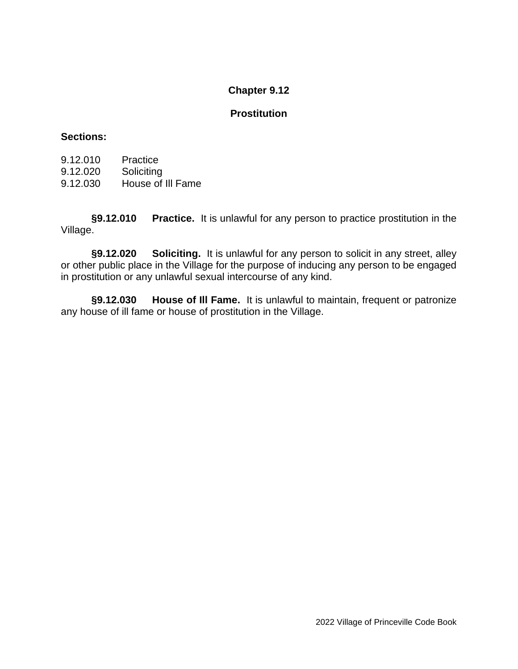### **Prostitution**

#### **Sections:**

| 9.12.010 | Practice          |
|----------|-------------------|
| 9.12.020 | Soliciting        |
| 9.12.030 | House of III Fame |

**§9.12.010 Practice.** It is unlawful for any person to practice prostitution in the Village.

**§9.12.020 Soliciting.** It is unlawful for any person to solicit in any street, alley or other public place in the Village for the purpose of inducing any person to be engaged in prostitution or any unlawful sexual intercourse of any kind.

**§9.12.030 House of Ill Fame.** It is unlawful to maintain, frequent or patronize any house of ill fame or house of prostitution in the Village.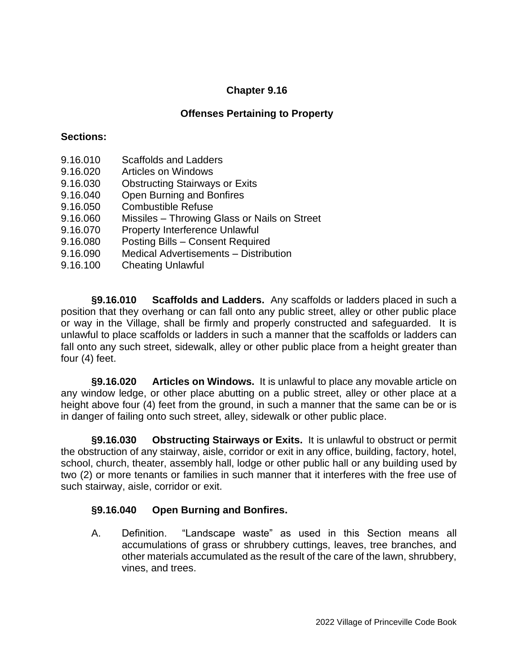# **Offenses Pertaining to Property**

### **Sections:**

- 9.16.010 Scaffolds and Ladders
- 9.16.020 Articles on Windows
- 9.16.030 Obstructing Stairways or Exits
- 9.16.040 Open Burning and Bonfires
- 9.16.050 Combustible Refuse
- 9.16.060 Missiles Throwing Glass or Nails on Street
- 9.16.070 Property Interference Unlawful
- 9.16.080 Posting Bills Consent Required
- 9.16.090 Medical Advertisements Distribution
- 9.16.100 Cheating Unlawful

**§9.16.010 Scaffolds and Ladders.** Any scaffolds or ladders placed in such a position that they overhang or can fall onto any public street, alley or other public place or way in the Village, shall be firmly and properly constructed and safeguarded. It is unlawful to place scaffolds or ladders in such a manner that the scaffolds or ladders can fall onto any such street, sidewalk, alley or other public place from a height greater than four (4) feet.

**§9.16.020 Articles on Windows.** It is unlawful to place any movable article on any window ledge, or other place abutting on a public street, alley or other place at a height above four (4) feet from the ground, in such a manner that the same can be or is in danger of failing onto such street, alley, sidewalk or other public place.

**§9.16.030 Obstructing Stairways or Exits.** It is unlawful to obstruct or permit the obstruction of any stairway, aisle, corridor or exit in any office, building, factory, hotel, school, church, theater, assembly hall, lodge or other public hall or any building used by two (2) or more tenants or families in such manner that it interferes with the free use of such stairway, aisle, corridor or exit.

## **§9.16.040 Open Burning and Bonfires.**

A. Definition. "Landscape waste" as used in this Section means all accumulations of grass or shrubbery cuttings, leaves, tree branches, and other materials accumulated as the result of the care of the lawn, shrubbery, vines, and trees.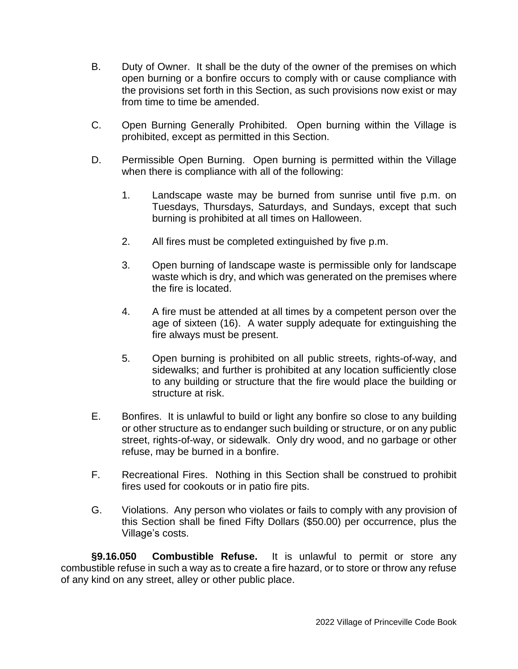- B. Duty of Owner. It shall be the duty of the owner of the premises on which open burning or a bonfire occurs to comply with or cause compliance with the provisions set forth in this Section, as such provisions now exist or may from time to time be amended.
- C. Open Burning Generally Prohibited. Open burning within the Village is prohibited, except as permitted in this Section.
- D. Permissible Open Burning. Open burning is permitted within the Village when there is compliance with all of the following:
	- 1. Landscape waste may be burned from sunrise until five p.m. on Tuesdays, Thursdays, Saturdays, and Sundays, except that such burning is prohibited at all times on Halloween.
	- 2. All fires must be completed extinguished by five p.m.
	- 3. Open burning of landscape waste is permissible only for landscape waste which is dry, and which was generated on the premises where the fire is located.
	- 4. A fire must be attended at all times by a competent person over the age of sixteen (16). A water supply adequate for extinguishing the fire always must be present.
	- 5. Open burning is prohibited on all public streets, rights-of-way, and sidewalks; and further is prohibited at any location sufficiently close to any building or structure that the fire would place the building or structure at risk.
- E. Bonfires. It is unlawful to build or light any bonfire so close to any building or other structure as to endanger such building or structure, or on any public street, rights-of-way, or sidewalk. Only dry wood, and no garbage or other refuse, may be burned in a bonfire.
- F. Recreational Fires. Nothing in this Section shall be construed to prohibit fires used for cookouts or in patio fire pits.
- G. Violations. Any person who violates or fails to comply with any provision of this Section shall be fined Fifty Dollars (\$50.00) per occurrence, plus the Village's costs.

**§9.16.050 Combustible Refuse.** It is unlawful to permit or store any combustible refuse in such a way as to create a fire hazard, or to store or throw any refuse of any kind on any street, alley or other public place.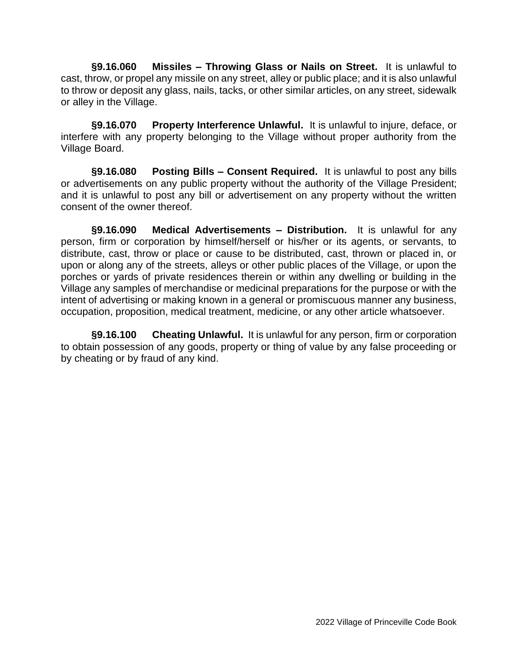**§9.16.060 Missiles – Throwing Glass or Nails on Street.** It is unlawful to cast, throw, or propel any missile on any street, alley or public place; and it is also unlawful to throw or deposit any glass, nails, tacks, or other similar articles, on any street, sidewalk or alley in the Village.

**§9.16.070 Property Interference Unlawful.** It is unlawful to injure, deface, or interfere with any property belonging to the Village without proper authority from the Village Board.

**§9.16.080 Posting Bills – Consent Required.** It is unlawful to post any bills or advertisements on any public property without the authority of the Village President; and it is unlawful to post any bill or advertisement on any property without the written consent of the owner thereof.

**§9.16.090 Medical Advertisements – Distribution.** It is unlawful for any person, firm or corporation by himself/herself or his/her or its agents, or servants, to distribute, cast, throw or place or cause to be distributed, cast, thrown or placed in, or upon or along any of the streets, alleys or other public places of the Village, or upon the porches or yards of private residences therein or within any dwelling or building in the Village any samples of merchandise or medicinal preparations for the purpose or with the intent of advertising or making known in a general or promiscuous manner any business, occupation, proposition, medical treatment, medicine, or any other article whatsoever.

**§9.16.100 Cheating Unlawful.** It is unlawful for any person, firm or corporation to obtain possession of any goods, property or thing of value by any false proceeding or by cheating or by fraud of any kind.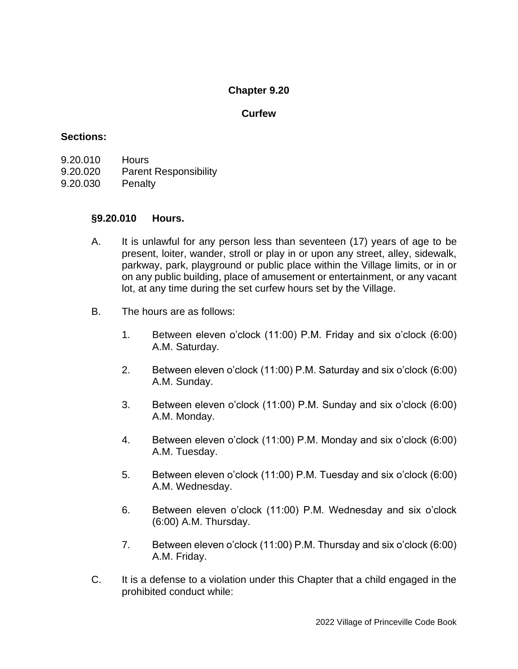#### **Curfew**

### **Sections:**

- 9.20.010 Hours
- 9.20.020 Parent Responsibility
- 9.20.030 Penalty

### **§9.20.010 Hours.**

- A. It is unlawful for any person less than seventeen (17) years of age to be present, loiter, wander, stroll or play in or upon any street, alley, sidewalk, parkway, park, playground or public place within the Village limits, or in or on any public building, place of amusement or entertainment, or any vacant lot, at any time during the set curfew hours set by the Village.
- B. The hours are as follows:
	- 1. Between eleven o'clock (11:00) P.M. Friday and six o'clock (6:00) A.M. Saturday.
	- 2. Between eleven o'clock (11:00) P.M. Saturday and six o'clock (6:00) A.M. Sunday.
	- 3. Between eleven o'clock (11:00) P.M. Sunday and six o'clock (6:00) A.M. Monday.
	- 4. Between eleven o'clock (11:00) P.M. Monday and six o'clock (6:00) A.M. Tuesday.
	- 5. Between eleven o'clock (11:00) P.M. Tuesday and six o'clock (6:00) A.M. Wednesday.
	- 6. Between eleven o'clock (11:00) P.M. Wednesday and six o'clock (6:00) A.M. Thursday.
	- 7. Between eleven o'clock (11:00) P.M. Thursday and six o'clock (6:00) A.M. Friday.
- C. It is a defense to a violation under this Chapter that a child engaged in the prohibited conduct while: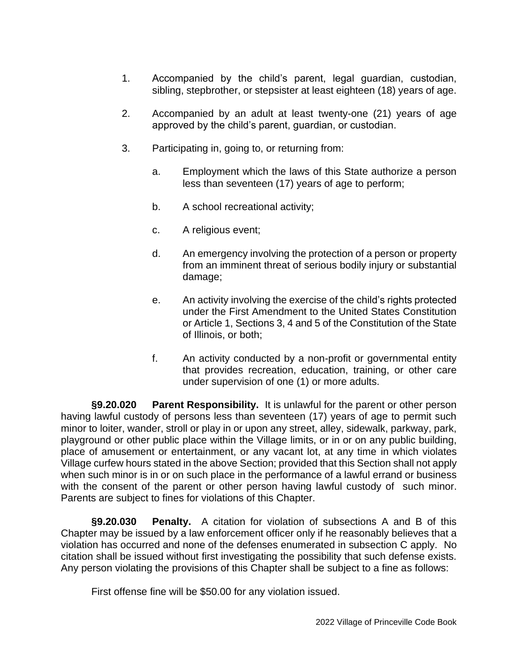- 1. Accompanied by the child's parent, legal guardian, custodian, sibling, stepbrother, or stepsister at least eighteen (18) years of age.
- 2. Accompanied by an adult at least twenty-one (21) years of age approved by the child's parent, guardian, or custodian.
- 3. Participating in, going to, or returning from:
	- a. Employment which the laws of this State authorize a person less than seventeen (17) years of age to perform;
	- b. A school recreational activity;
	- c. A religious event;
	- d. An emergency involving the protection of a person or property from an imminent threat of serious bodily injury or substantial damage;
	- e. An activity involving the exercise of the child's rights protected under the First Amendment to the United States Constitution or Article 1, Sections 3, 4 and 5 of the Constitution of the State of Illinois, or both;
	- f. An activity conducted by a non-profit or governmental entity that provides recreation, education, training, or other care under supervision of one (1) or more adults.

**§9.20.020 Parent Responsibility.** It is unlawful for the parent or other person having lawful custody of persons less than seventeen (17) years of age to permit such minor to loiter, wander, stroll or play in or upon any street, alley, sidewalk, parkway, park, playground or other public place within the Village limits, or in or on any public building, place of amusement or entertainment, or any vacant lot, at any time in which violates Village curfew hours stated in the above Section; provided that this Section shall not apply when such minor is in or on such place in the performance of a lawful errand or business with the consent of the parent or other person having lawful custody of such minor. Parents are subject to fines for violations of this Chapter.

**§9.20.030 Penalty.** A citation for violation of subsections A and B of this Chapter may be issued by a law enforcement officer only if he reasonably believes that a violation has occurred and none of the defenses enumerated in subsection C apply. No citation shall be issued without first investigating the possibility that such defense exists. Any person violating the provisions of this Chapter shall be subject to a fine as follows:

First offense fine will be \$50.00 for any violation issued.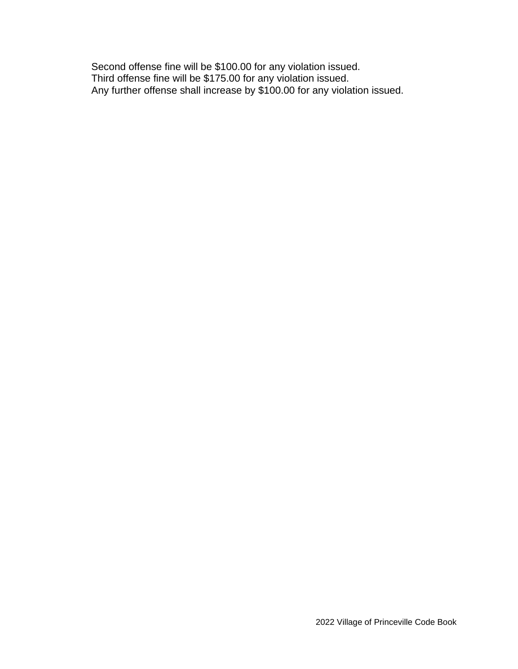Second offense fine will be \$100.00 for any violation issued. Third offense fine will be \$175.00 for any violation issued. Any further offense shall increase by \$100.00 for any violation issued.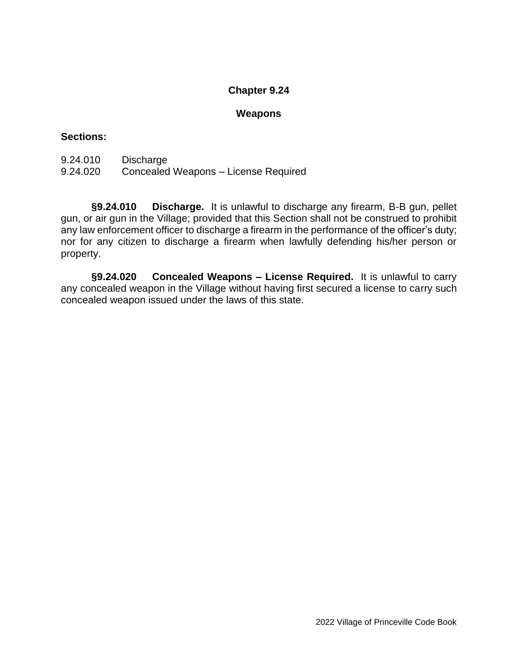#### **Weapons**

### **Sections:**

- 9.24.010 Discharge
- 9.24.020 Concealed Weapons License Required

**§9.24.010 Discharge.** It is unlawful to discharge any firearm, B-B gun, pellet gun, or air gun in the Village; provided that this Section shall not be construed to prohibit any law enforcement officer to discharge a firearm in the performance of the officer's duty; nor for any citizen to discharge a firearm when lawfully defending his/her person or property.

**§9.24.020 Concealed Weapons – License Required.** It is unlawful to carry any concealed weapon in the Village without having first secured a license to carry such concealed weapon issued under the laws of this state.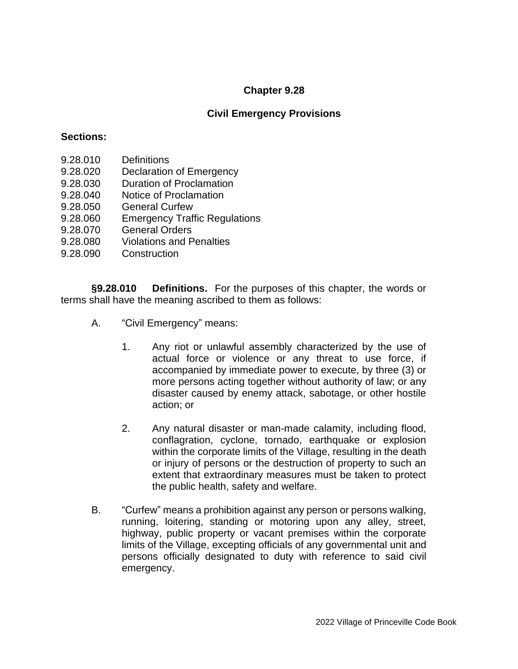## **Civil Emergency Provisions**

#### **Sections:**

- 9.28.010 Definitions
- 9.28.020 Declaration of Emergency
- 9.28.030 Duration of Proclamation
- 9.28.040 Notice of Proclamation
- 9.28.050 General Curfew
- 9.28.060 Emergency Traffic Regulations
- 9.28.070 General Orders
- 9.28.080 Violations and Penalties
- 9.28.090 Construction

**§9.28.010 Definitions.** For the purposes of this chapter, the words or terms shall have the meaning ascribed to them as follows:

- A. "Civil Emergency" means:
	- 1. Any riot or unlawful assembly characterized by the use of actual force or violence or any threat to use force, if accompanied by immediate power to execute, by three (3) or more persons acting together without authority of law; or any disaster caused by enemy attack, sabotage, or other hostile action; or
	- 2. Any natural disaster or man-made calamity, including flood, conflagration, cyclone, tornado, earthquake or explosion within the corporate limits of the Village, resulting in the death or injury of persons or the destruction of property to such an extent that extraordinary measures must be taken to protect the public health, safety and welfare.
- B. "Curfew" means a prohibition against any person or persons walking, running, loitering, standing or motoring upon any alley, street, highway, public property or vacant premises within the corporate limits of the Village, excepting officials of any governmental unit and persons officially designated to duty with reference to said civil emergency.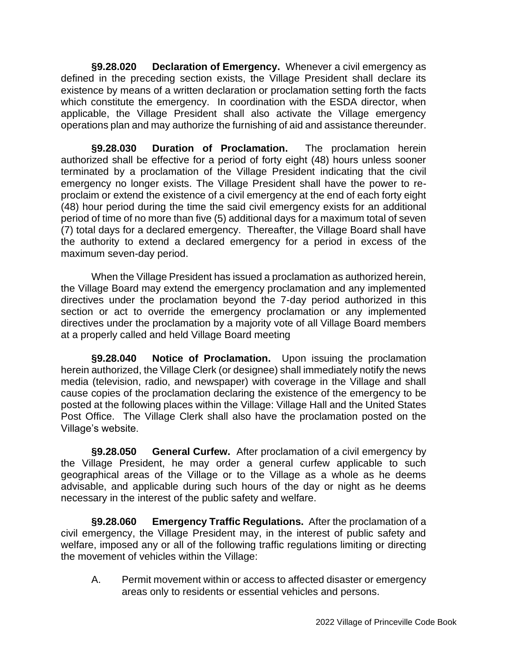**§9.28.020 Declaration of Emergency.** Whenever a civil emergency as defined in the preceding section exists, the Village President shall declare its existence by means of a written declaration or proclamation setting forth the facts which constitute the emergency. In coordination with the ESDA director, when applicable, the Village President shall also activate the Village emergency operations plan and may authorize the furnishing of aid and assistance thereunder.

**§9.28.030 Duration of Proclamation.** The proclamation herein authorized shall be effective for a period of forty eight (48) hours unless sooner terminated by a proclamation of the Village President indicating that the civil emergency no longer exists. The Village President shall have the power to reproclaim or extend the existence of a civil emergency at the end of each forty eight (48) hour period during the time the said civil emergency exists for an additional period of time of no more than five (5) additional days for a maximum total of seven (7) total days for a declared emergency. Thereafter, the Village Board shall have the authority to extend a declared emergency for a period in excess of the maximum seven-day period.

When the Village President has issued a proclamation as authorized herein, the Village Board may extend the emergency proclamation and any implemented directives under the proclamation beyond the 7-day period authorized in this section or act to override the emergency proclamation or any implemented directives under the proclamation by a majority vote of all Village Board members at a properly called and held Village Board meeting

**§9.28.040 Notice of Proclamation.** Upon issuing the proclamation herein authorized, the Village Clerk (or designee) shall immediately notify the news media (television, radio, and newspaper) with coverage in the Village and shall cause copies of the proclamation declaring the existence of the emergency to be posted at the following places within the Village: Village Hall and the United States Post Office. The Village Clerk shall also have the proclamation posted on the Village's website.

**§9.28.050 General Curfew.** After proclamation of a civil emergency by the Village President, he may order a general curfew applicable to such geographical areas of the Village or to the Village as a whole as he deems advisable, and applicable during such hours of the day or night as he deems necessary in the interest of the public safety and welfare.

**§9.28.060 Emergency Traffic Regulations.** After the proclamation of a civil emergency, the Village President may, in the interest of public safety and welfare, imposed any or all of the following traffic regulations limiting or directing the movement of vehicles within the Village:

A. Permit movement within or access to affected disaster or emergency areas only to residents or essential vehicles and persons.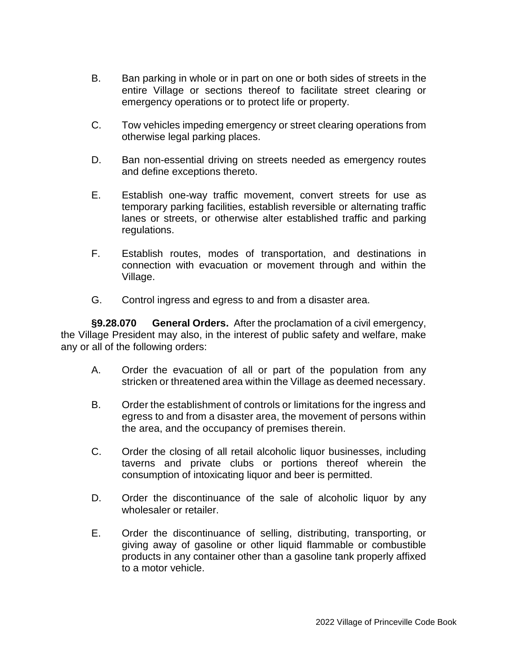- B. Ban parking in whole or in part on one or both sides of streets in the entire Village or sections thereof to facilitate street clearing or emergency operations or to protect life or property.
- C. Tow vehicles impeding emergency or street clearing operations from otherwise legal parking places.
- D. Ban non-essential driving on streets needed as emergency routes and define exceptions thereto.
- E. Establish one-way traffic movement, convert streets for use as temporary parking facilities, establish reversible or alternating traffic lanes or streets, or otherwise alter established traffic and parking regulations.
- F. Establish routes, modes of transportation, and destinations in connection with evacuation or movement through and within the Village.
- G. Control ingress and egress to and from a disaster area.

**§9.28.070 General Orders.** After the proclamation of a civil emergency, the Village President may also, in the interest of public safety and welfare, make any or all of the following orders:

- A. Order the evacuation of all or part of the population from any stricken or threatened area within the Village as deemed necessary.
- B. Order the establishment of controls or limitations for the ingress and egress to and from a disaster area, the movement of persons within the area, and the occupancy of premises therein.
- C. Order the closing of all retail alcoholic liquor businesses, including taverns and private clubs or portions thereof wherein the consumption of intoxicating liquor and beer is permitted.
- D. Order the discontinuance of the sale of alcoholic liquor by any wholesaler or retailer.
- E. Order the discontinuance of selling, distributing, transporting, or giving away of gasoline or other liquid flammable or combustible products in any container other than a gasoline tank properly affixed to a motor vehicle.